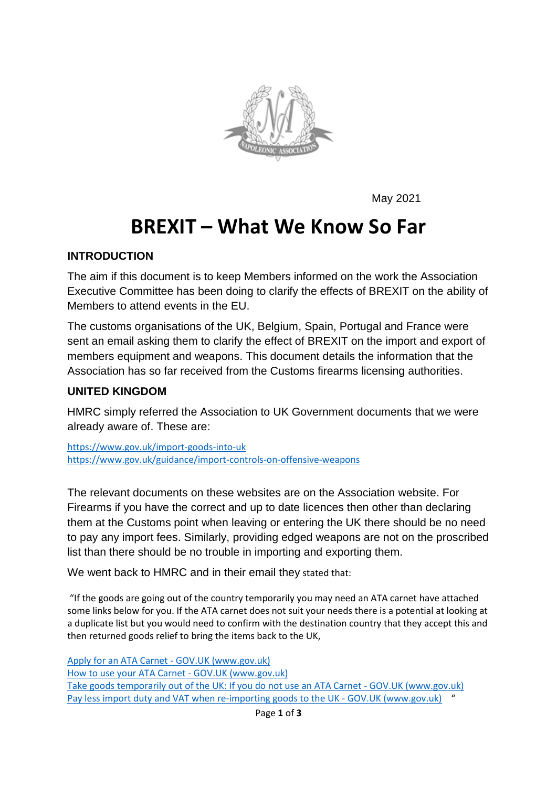

May 2021

# **BREXIT – What We Know So Far**

#### **INTRODUCTION**

The aim if this document is to keep Members informed on the work the Association Executive Committee has been doing to clarify the effects of BREXIT on the ability of Members to attend events in the EU.

The customs organisations of the UK, Belgium, Spain, Portugal and France were sent an email asking them to clarify the effect of BREXIT on the import and export of members equipment and weapons. This document details the information that the Association has so far received from the Customs firearms licensing authorities.

#### **UNITED KINGDOM**

HMRC simply referred the Association to UK Government documents that we were already aware of. These are:

<https://www.gov.uk/import-goods-into-uk> <https://www.gov.uk/guidance/import-controls-on-offensive-weapons>

The relevant documents on these websites are on the Association website. For Firearms if you have the correct and up to date licences then other than declaring them at the Customs point when leaving or entering the UK there should be no need to pay any import fees. Similarly, providing edged weapons are not on the proscribed list than there should be no trouble in importing and exporting them.

We went back to HMRC and in their email they stated that:

"If the goods are going out of the country temporarily you may need an ATA carnet have attached some links below for you. If the ATA carnet does not suit your needs there is a potential at looking at a duplicate list but you would need to confirm with the destination country that they accept this and then returned goods relief to bring the items back to the UK,

[Apply for an ATA Carnet -](https://www.gov.uk/guidance/apply-for-an-ata-carnet) GOV.UK (www.gov.uk) [How to use your ATA Carnet -](https://www.gov.uk/guidance/how-to-use-your-ata-carnet) GOV.UK (www.gov.uk) [Take goods temporarily out of the UK: If you do not use an ATA Carnet -](https://www.gov.uk/taking-goods-out-uk-temporarily/duplicate-list) GOV.UK (www.gov.uk) [Pay less import duty and VAT when re-importing goods to the UK -](https://www.gov.uk/guidance/pay-less-import-duty-and-vat-when-re-importing-goods-to-the-uk-and-eu) GOV.UK (www.gov.uk) "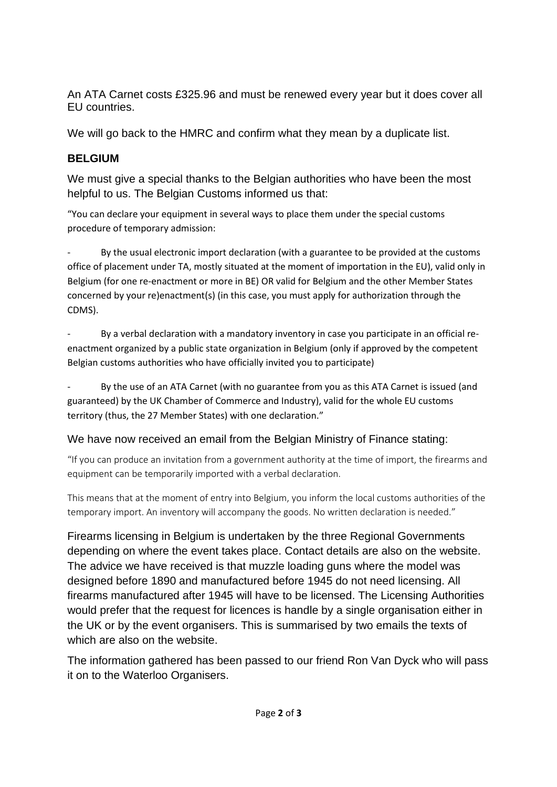An ATA Carnet costs £325.96 and must be renewed every year but it does cover all EU countries.

We will go back to the HMRC and confirm what they mean by a duplicate list.

# **BELGIUM**

We must give a special thanks to the Belgian authorities who have been the most helpful to us. The Belgian Customs informed us that:

"You can declare your equipment in several ways to place them under the special customs procedure of temporary admission:

By the usual electronic import declaration (with a guarantee to be provided at the customs office of placement under TA, mostly situated at the moment of importation in the EU), valid only in Belgium (for one re-enactment or more in BE) OR valid for Belgium and the other Member States concerned by your re)enactment(s) (in this case, you must apply for authorization through the CDMS).

By a verbal declaration with a mandatory inventory in case you participate in an official reenactment organized by a public state organization in Belgium (only if approved by the competent Belgian customs authorities who have officially invited you to participate)

By the use of an ATA Carnet (with no guarantee from you as this ATA Carnet is issued (and guaranteed) by the UK Chamber of Commerce and Industry), valid for the whole EU customs territory (thus, the 27 Member States) with one declaration."

# We have now received an email from the Belgian Ministry of Finance stating:

"If you can produce an invitation from a government authority at the time of import, the firearms and equipment can be temporarily imported with a verbal declaration.

This means that at the moment of entry into Belgium, you inform the local customs authorities of the temporary import. An inventory will accompany the goods. No written declaration is needed."

Firearms licensing in Belgium is undertaken by the three Regional Governments depending on where the event takes place. Contact details are also on the website. The advice we have received is that muzzle loading guns where the model was designed before 1890 and manufactured before 1945 do not need licensing. All firearms manufactured after 1945 will have to be licensed. The Licensing Authorities would prefer that the request for licences is handle by a single organisation either in the UK or by the event organisers. This is summarised by two emails the texts of which are also on the website.

The information gathered has been passed to our friend Ron Van Dyck who will pass it on to the Waterloo Organisers.